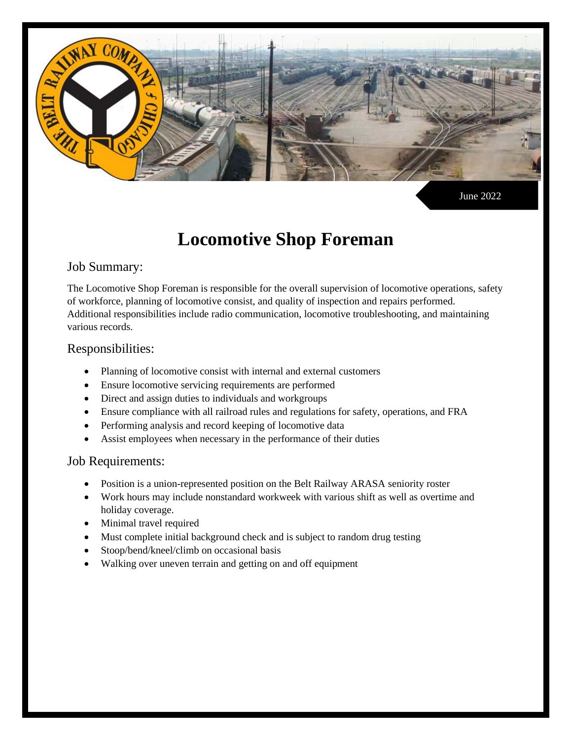

June 2022

# **Locomotive Shop Foreman**

## Job Summary:

The Locomotive Shop Foreman is responsible for the overall supervision of locomotive operations, safety of workforce, planning of locomotive consist, and quality of inspection and repairs performed. Additional responsibilities include radio communication, locomotive troubleshooting, and maintaining various records.

#### Responsibilities:

- Planning of locomotive consist with internal and external customers
- Ensure locomotive servicing requirements are performed
- Direct and assign duties to individuals and workgroups
- Ensure compliance with all railroad rules and regulations for safety, operations, and FRA
- Performing analysis and record keeping of locomotive data
- Assist employees when necessary in the performance of their duties

## Job Requirements:

- Position is a union-represented position on the Belt Railway ARASA seniority roster
- Work hours may include nonstandard workweek with various shift as well as overtime and holiday coverage.
- Minimal travel required
- Must complete initial background check and is subject to random drug testing
- Stoop/bend/kneel/climb on occasional basis
- Walking over uneven terrain and getting on and off equipment